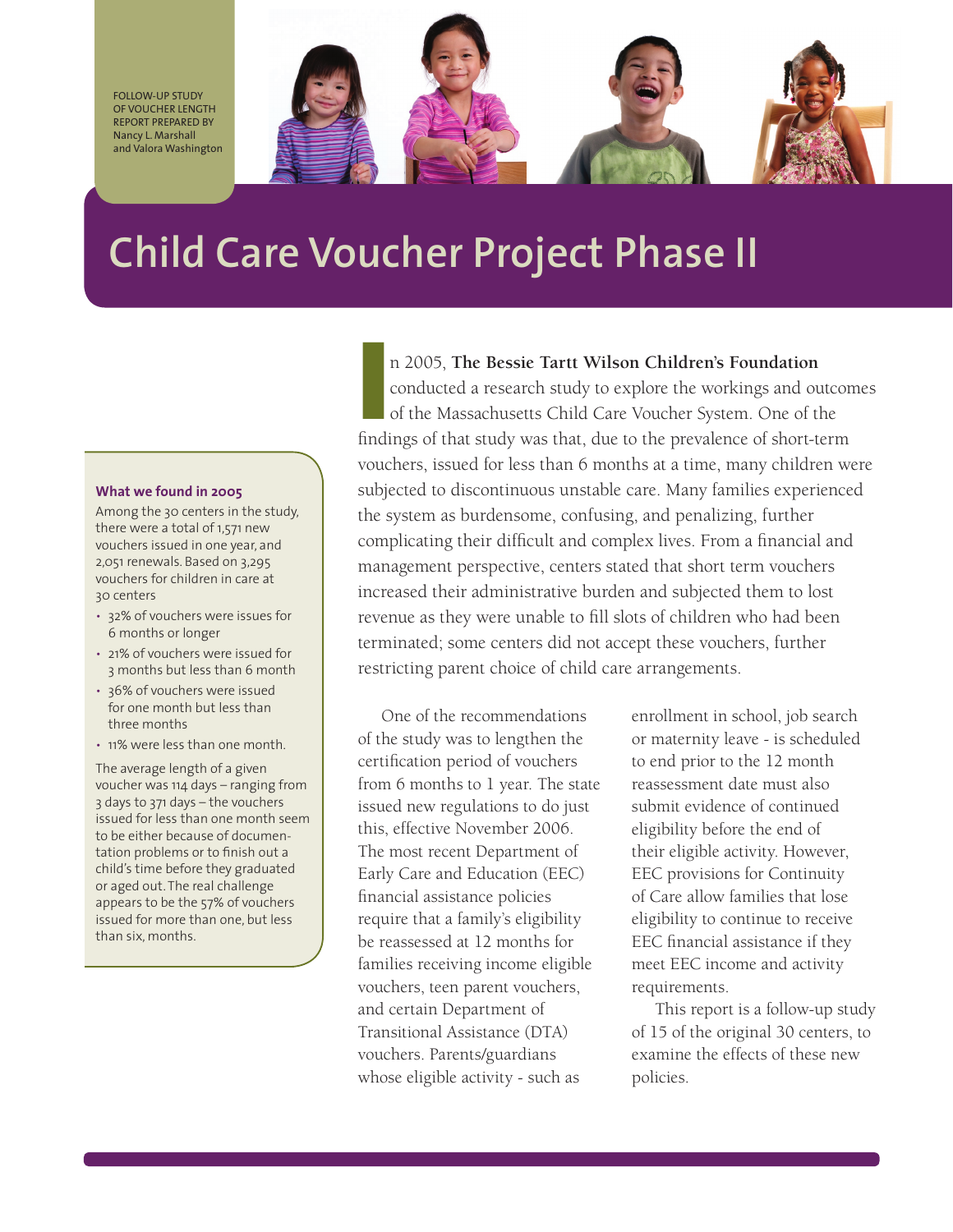Follow-up Study of Voucher Length Report prepared by Nancy L. Marshall and Valora Washington



# **Child Care Voucher Project Phase II**

#### **What we found in 2005**

Among the 30 centers in the study, there were a total of 1,571 new vouchers issued in one year, and 2,051 renewals. Based on 3,295 vouchers for children in care at 30 centers

- 32% of vouchers were issues for 6 months or longer
- 21% of vouchers were issued for 3 months but less than 6 month
- 36% of vouchers were issued for one month but less than three months
- 11% were less than one month.

The average length of a given voucher was 114 days – ranging from 3 days to 371 days – the vouchers issued for less than one month seem to be either because of documentation problems or to finish out a child's time before they graduated or aged out. The real challenge appears to be the 57% of vouchers issued for more than one, but less than six, months.

In 2005, The Bessie Tartt Wilson Children's Foundation<br>conducted a research study to explore the workings and outcon<br>of the Massachusetts Child Care Voucher System. One of the<br>findings of that study was that, due to the pr n 2005, **The Bessie Tartt Wilson Children's Foundation** conducted a research study to explore the workings and outcomes of the Massachusetts Child Care Voucher System. One of the vouchers, issued for less than 6 months at a time, many children were subjected to discontinuous unstable care. Many families experienced the system as burdensome, confusing, and penalizing, further complicating their difficult and complex lives. From a financial and management perspective, centers stated that short term vouchers increased their administrative burden and subjected them to lost revenue as they were unable to fill slots of children who had been terminated; some centers did not accept these vouchers, further restricting parent choice of child care arrangements.

One of the recommendations of the study was to lengthen the certification period of vouchers from 6 months to 1 year. The state issued new regulations to do just this, effective November 2006. The most recent Department of Early Care and Education (EEC) financial assistance policies require that a family's eligibility be reassessed at 12 months for families receiving income eligible vouchers, teen parent vouchers, and certain Department of Transitional Assistance (DTA) vouchers. Parents/guardians whose eligible activity - such as

enrollment in school, job search or maternity leave - is scheduled to end prior to the 12 month reassessment date must also submit evidence of continued eligibility before the end of their eligible activity. However, EEC provisions for Continuity of Care allow families that lose eligibility to continue to receive EEC financial assistance if they meet EEC income and activity requirements.

This report is a follow-up study of 15 of the original 30 centers, to examine the effects of these new policies.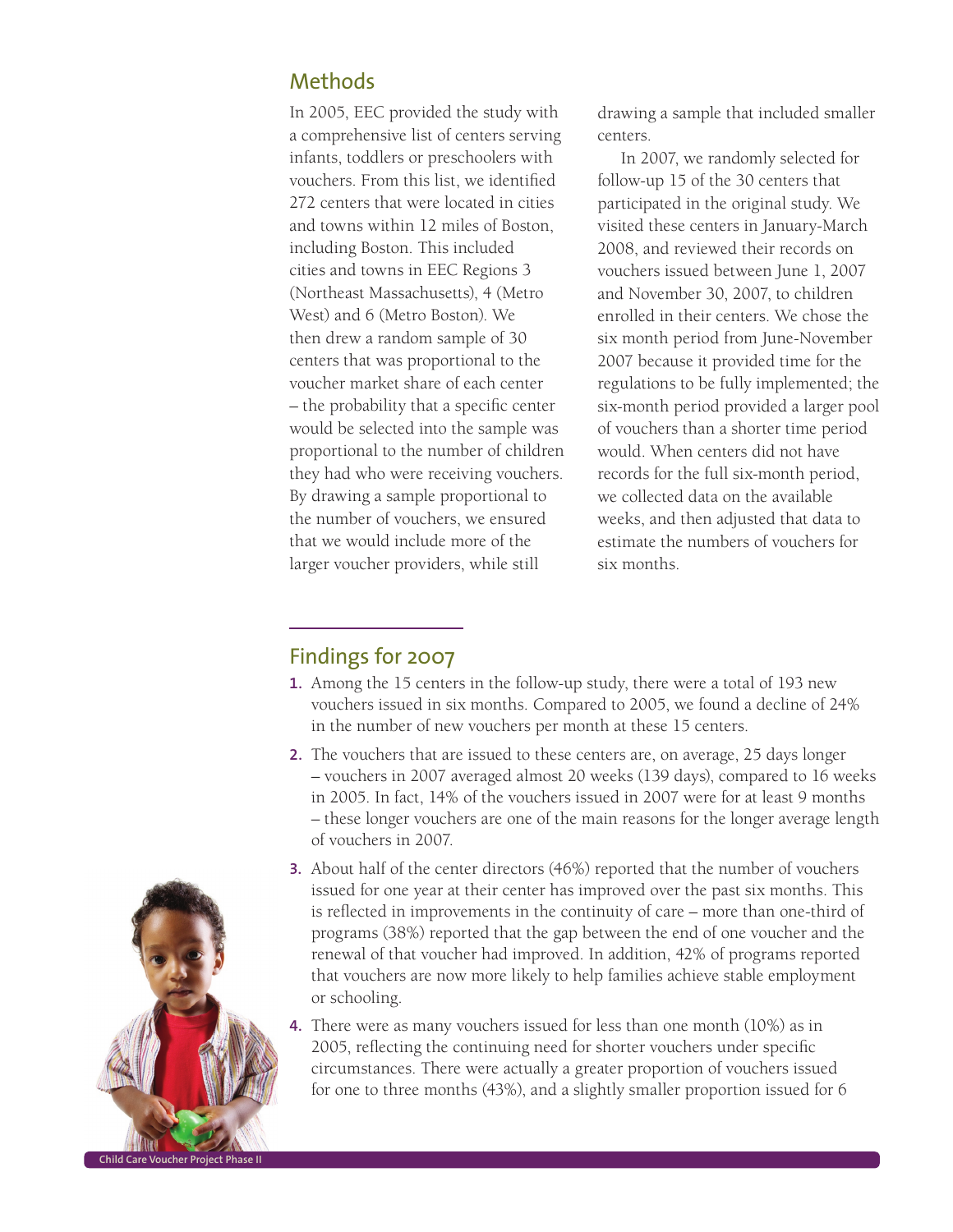## Methods

In 2005, EEC provided the study with a comprehensive list of centers serving infants, toddlers or preschoolers with vouchers. From this list, we identified 272 centers that were located in cities and towns within 12 miles of Boston, including Boston. This included cities and towns in EEC Regions 3 (Northeast Massachusetts), 4 (Metro West) and 6 (Metro Boston). We then drew a random sample of 30 centers that was proportional to the voucher market share of each center – the probability that a specific center would be selected into the sample was proportional to the number of children they had who were receiving vouchers. By drawing a sample proportional to the number of vouchers, we ensured that we would include more of the larger voucher providers, while still

drawing a sample that included smaller centers.

In 2007, we randomly selected for follow-up 15 of the 30 centers that participated in the original study. We visited these centers in January-March 2008, and reviewed their records on vouchers issued between June 1, 2007 and November 30, 2007, to children enrolled in their centers. We chose the six month period from June-November 2007 because it provided time for the regulations to be fully implemented; the six-month period provided a larger pool of vouchers than a shorter time period would. When centers did not have records for the full six-month period, we collected data on the available weeks, and then adjusted that data to estimate the numbers of vouchers for six months.

## Findings for 2007

- **1.** Among the 15 centers in the follow-up study, there were a total of 193 new vouchers issued in six months. Compared to 2005, we found a decline of 24% in the number of new vouchers per month at these 15 centers.
- **2.** The vouchers that are issued to these centers are, on average, 25 days longer – vouchers in 2007 averaged almost 20 weeks (139 days), compared to 16 weeks in 2005. In fact, 14% of the vouchers issued in 2007 were for at least 9 months – these longer vouchers are one of the main reasons for the longer average length of vouchers in 2007.
- **3.** About half of the center directors (46%) reported that the number of vouchers issued for one year at their center has improved over the past six months. This is reflected in improvements in the continuity of care – more than one-third of programs (38%) reported that the gap between the end of one voucher and the renewal of that voucher had improved. In addition, 42% of programs reported that vouchers are now more likely to help families achieve stable employment or schooling.
- **4.** There were as many vouchers issued for less than one month (10%) as in 2005, reflecting the continuing need for shorter vouchers under specific circumstances. There were actually a greater proportion of vouchers issued for one to three months (43%), and a slightly smaller proportion issued for 6

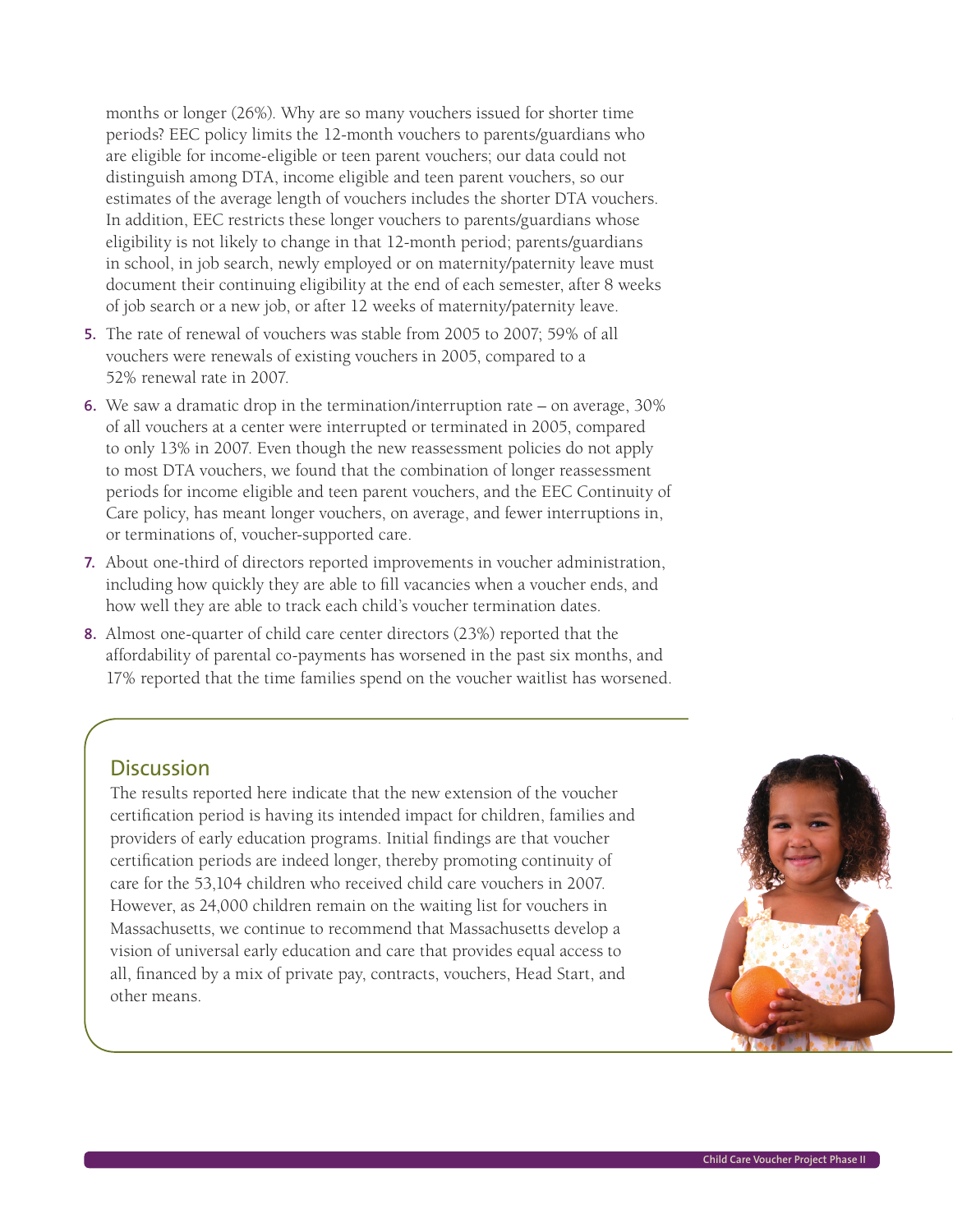months or longer (26%). Why are so many vouchers issued for shorter time periods? EEC policy limits the 12-month vouchers to parents/guardians who are eligible for income-eligible or teen parent vouchers; our data could not distinguish among DTA, income eligible and teen parent vouchers, so our estimates of the average length of vouchers includes the shorter DTA vouchers. In addition, EEC restricts these longer vouchers to parents/guardians whose eligibility is not likely to change in that 12-month period; parents/guardians in school, in job search, newly employed or on maternity/paternity leave must document their continuing eligibility at the end of each semester, after 8 weeks of job search or a new job, or after 12 weeks of maternity/paternity leave.

- **5.** The rate of renewal of vouchers was stable from 2005 to 2007; 59% of all vouchers were renewals of existing vouchers in 2005, compared to a 52% renewal rate in 2007.
- **6.** We saw a dramatic drop in the termination/interruption rate on average, 30% of all vouchers at a center were interrupted or terminated in 2005, compared to only 13% in 2007. Even though the new reassessment policies do not apply to most DTA vouchers, we found that the combination of longer reassessment periods for income eligible and teen parent vouchers, and the EEC Continuity of Care policy, has meant longer vouchers, on average, and fewer interruptions in, or terminations of, voucher-supported care.
- **7.** About one-third of directors reported improvements in voucher administration, including how quickly they are able to fill vacancies when a voucher ends, and how well they are able to track each child's voucher termination dates.
- **8.** Almost one-quarter of child care center directors (23%) reported that the affordability of parental co-payments has worsened in the past six months, and 17% reported that the time families spend on the voucher waitlist has worsened.

### **Discussion**

The results reported here indicate that the new extension of the voucher certification period is having its intended impact for children, families and providers of early education programs. Initial findings are that voucher certification periods are indeed longer, thereby promoting continuity of care for the 53,104 children who received child care vouchers in 2007. However, as 24,000 children remain on the waiting list for vouchers in Massachusetts, we continue to recommend that Massachusetts develop a vision of universal early education and care that provides equal access to all, financed by a mix of private pay, contracts, vouchers, Head Start, and other means.